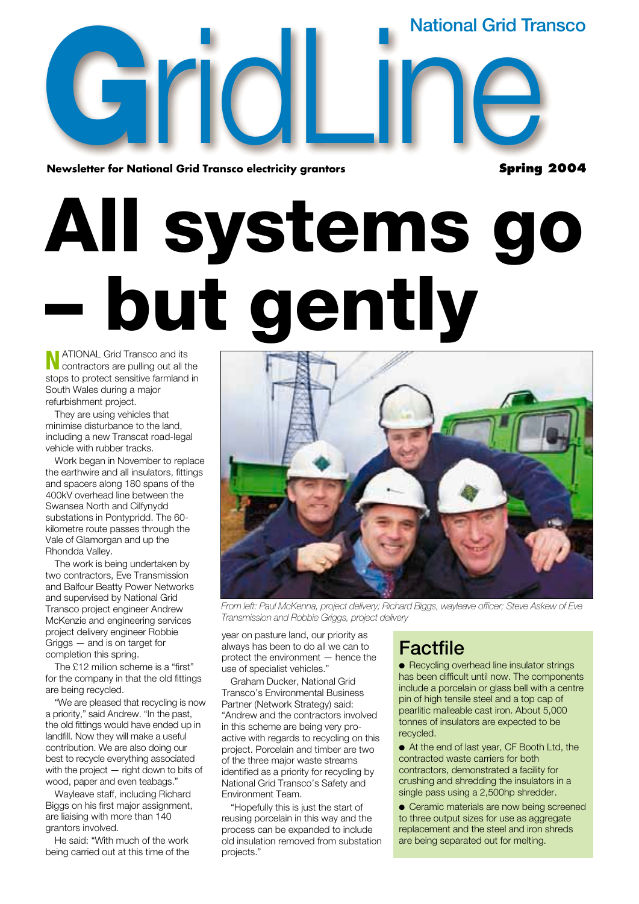**National Grid Transco**

**Spring 2004**

**G**<br>**G**<br>**Newsletter** for Natio **Newsletter for National Grid Transco electricity grantors**  onal Grid Transco electricity grantors<br>
Spring

**All systems go – but gently**

**N**ATIONAL Grid Transco and its contractors are pulling out all the stops to protect sensitive farmland in South Wales during a major refurbishment project.

They are using vehicles that minimise disturbance to the land, including a new Transcat road-legal vehicle with rubber tracks.

Work began in November to replace the earthwire and all insulators, fittings and spacers along 180 spans of the 400kV overhead line between the Swansea North and Cilfynydd substations in Pontypridd. The 60 kilometre route passes through the Vale of Glamorgan and up the Rhondda Valley.

The work is being undertaken by two contractors, Eve Transmission and Balfour Beatty Power Networks and supervised by National Grid Transco project engineer Andrew McKenzie and engineering services project delivery engineer Robbie Griggs — and is on target for completion this spring.

The £12 million scheme is a "first" for the company in that the old fittings are being recycled.

"We are pleased that recycling is now a priority," said Andrew. "In the past, the old fittings would have ended up in landfill. Now they will make a useful contribution. We are also doing our best to recycle everything associated with the project — right down to bits of wood, paper and even teabags."

Wayleave staff, including Richard Biggs on his first major assignment, are liaising with more than 140 grantors involved.

He said: "With much of the work being carried out at this time of the



*From left: Paul McKenna, project delivery; Richard Biggs, wayleave officer; Steve Askew of Eve Transmission and Robbie Griggs, project delivery*

year on pasture land, our priority as always has been to do all we can to protect the environment — hence the use of specialist vehicles."

Graham Ducker, National Grid Transco's Environmental Business Partner (Network Strategy) said: "Andrew and the contractors involved in this scheme are being very proactive with regards to recycling on this project. Porcelain and timber are two of the three major waste streams identified as a priority for recycling by National Grid Transco's Safety and Environment Team.

"Hopefully this is just the start of reusing porcelain in this way and the process can be expanded to include old insulation removed from substation projects."

#### **Factfile**

● Recycling overhead line insulator strings has been difficult until now. The components include a porcelain or glass bell with a centre pin of high tensile steel and a top cap of pearlitic malleable cast iron. About 5,000 tonnes of insulators are expected to be recycled.

● At the end of last year, CF Booth Ltd, the contracted waste carriers for both contractors, demonstrated a facility for crushing and shredding the insulators in a single pass using a 2,500hp shredder.

● Ceramic materials are now being screened to three output sizes for use as aggregate replacement and the steel and iron shreds are being separated out for melting.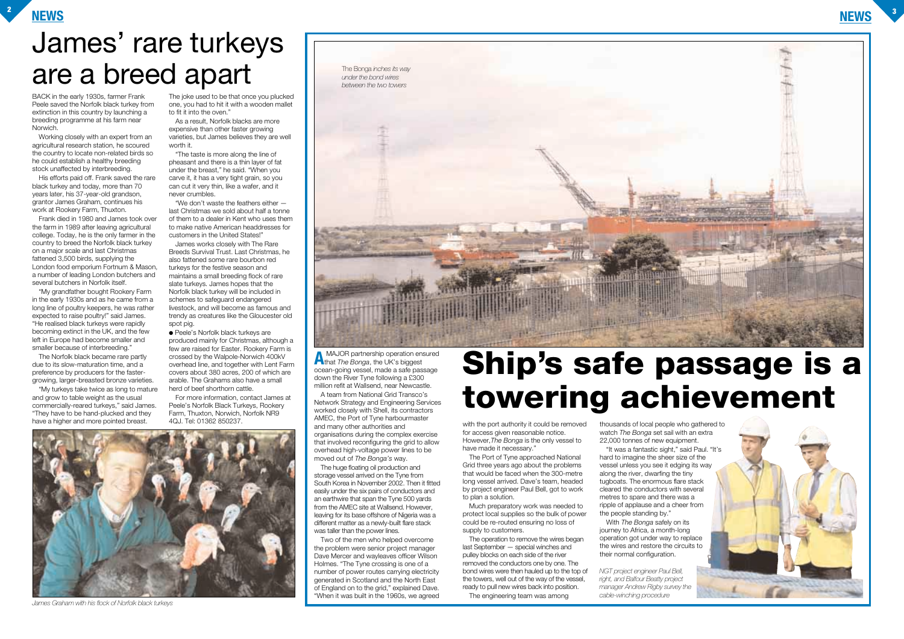

A team from National Grid Transco's Network Strategy and Engineering Services worked closely with Shell, its contractors AMEC, the Port of Tyne harbourmaster and many other authorities and organisations during the complex exercise that involved reconfiguring the grid to allow overhead high-voltage power lines to be moved out of *The Bonga's* way. 4QJ. Tel: 01362 850237.

**A** MAJOR partnership operation ensured that *The Bonga*, the UK's biggest ocean-going vessel, made a safe passage down the River Tyne following a £300 million refit at Wallsend, near Newcastle.

The huge floating oil production and storage vessel arrived on the Tyne from South Korea in November 2002. Then it fitted easily under the six pairs of conductors and an earthwire that span the Tyne 500 yards from the AMEC site at Wallsend. However, leaving for its base offshore of Nigeria was a different matter as a newly-built flare stack was taller than the power lines.

Two of the men who helped overcome the problem were senior project manager Dave Mercer and wayleaves officer Wilson Holmes. "The Tyne crossing is one of a number of power routes carrying electricity generated in Scotland and the North East of England on to the grid," explained Dave. "When it was built in the 1960s, we agreed

BACK in the early 1930s, farmer Frank Peele saved the Norfolk black turkey from extinction in this country by launching a breeding programme at his farm near Norwich.

Working closely with an expert from an agricultural research station, he scoured the country to locate non-related birds so he could establish a healthy breeding stock unaffected by interbreeding.

His efforts paid off. Frank saved the rare black turkey and today, more than 70 years later, his 37-year-old grandson, grantor James Graham, continues his work at Rookery Farm, Thuxton.

Frank died in 1980 and James took over the farm in 1989 after leaving agricultural college. Today, he is the only farmer in the country to breed the Norfolk black turkey on a major scale and last Christmas fattened 3,500 birds, supplying the London food emporium Fortnum & Mason, a number of leading London butchers and several butchers in Norfolk itself.

> ● Peele's Norfolk black turkeys are produced mainly for Christmas, although a few are raised for Easter. Rookery Farm is crossed by the Walpole-Norwich 400kV overhead line, and together with Lent Farm covers about 380 acres, 200 of which are arable. The Grahams also have a small herd of beef shorthorn cattle.

> > for access given reasonable notice. However,*The Bonga* is the only vessel to have made it necessary.'

"My grandfather bought Rookery Farm in the early 1930s and as he came from a long line of poultry keepers, he was rather expected to raise poultry!" said James. "He realised black turkeys were rapidly becoming extinct in the UK, and the few left in Europe had become smaller and smaller because of interbreeding."

> Much preparatory work was needed to protect local supplies so the bulk of power could be re-routed ensuring no loss of supply to customers.

The Norfolk black became rare partly due to its slow-maturation time, and a preference by producers for the fastergrowing, larger-breasted bronze varieties.

"My turkeys take twice as long to mature and grow to table weight as the usual commercially-reared turkeys," said James. "They have to be hand-plucked and they have a higher and more pointed breast.

The joke used to be that once you plucked one, you had to hit it with a wooden mallet to fit it into the oven."

As a result, Norfolk blacks are more expensive than other faster growing varieties, but James believes they are well worth it.

"The taste is more along the line of pheasant and there is a thin layer of fat under the breast," he said. "When you carve it, it has a very tight grain, so you can cut it very thin, like a wafer, and it never crumbles.

"We don't waste the feathers either last Christmas we sold about half a tonne of them to a dealer in Kent who uses them to make native American headdresses for customers in the United States!"

James works closely with The Rare Breeds Survival Trust. Last Christmas, he also fattened some rare bourbon red turkeys for the festive season and maintains a small breeding flock of rare slate turkeys. James hopes that the Norfolk black turkey will be included in schemes to safeguard endangered livestock, and will become as famous and trendy as creatures like the Gloucester old spot pig.

For more information, contact James at Peele's Norfolk Black Turkeys, Rookery Farm, Thuxton, Norwich, Norfolk NR9

> The Port of Tyne approached National Grid three years ago about the problems that would be faced when the 300-metre long vessel arrived. Dave's team, headed by project engineer Paul Bell, got to work to plan a solution.

The operation to remove the wires began last September — special winches and pulley blocks on each side of the river removed the conductors one by one. The bond wires were then hauled up to the top of the towers, well out of the way of the vessel, ready to pull new wires back into position. The engineering team was among

thousands of local people who gathered to watch *The Bonga* set sail with an extra 22,000 tonnes of new equipment. "It was a fantastic sight," said Paul. "It's hard to imagine the sheer size of the vessel unless you see it edging its way along the river, dwarfing the tiny tugboats. The enormous flare stack cleared the conductors with several metres to spare and there was a ripple of applause and a cheer from With *The Bonga* safely on its

the people standing by."

journey to Africa, a month-long operation got under way to replace the wires and restore the circuits to

their normal configuration.



*NGT project engineer Paul Bell, right, and Balfour Beatty project manager Andrew Rigby survey the cable-winching procedure*

## **Ship's safe passage is a towering achievement**

### James' rare turkeys are a breed apart



*James Graham with his flock of Norfolk black turkeys*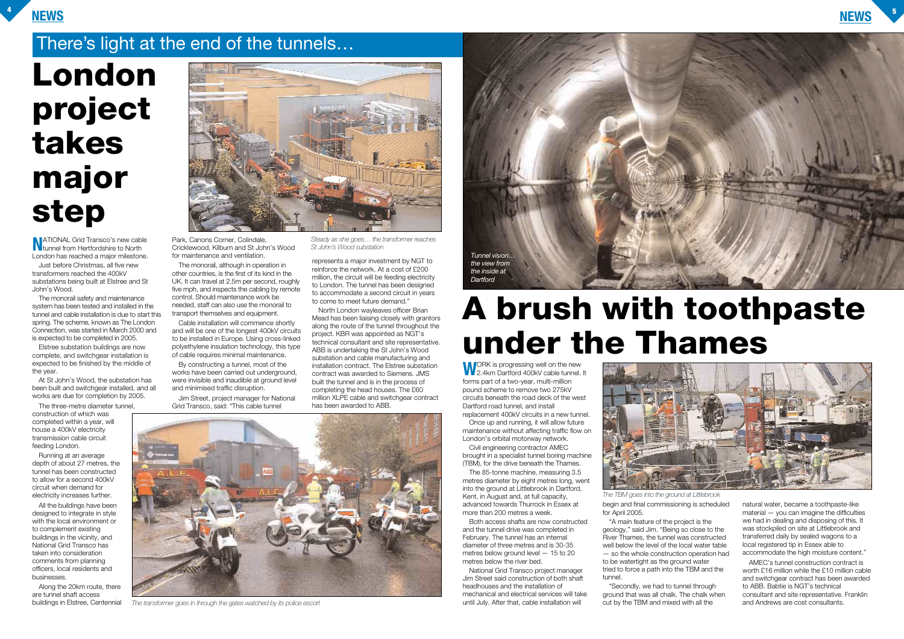#### **NEWS <sup>4</sup>**



**NATIONAL Grid Transco's new cable<br>tunnel from Hertfordshire to North** London has reached a major milestone.

Just before Christmas, all five new transformers reached the 400kV substations being built at Elstree and St John's Wood.

The monorail safety and maintenance system has been tested and installed in the tunnel and cable installation is due to start this spring. The scheme, known as The London Connection, was started in March 2000 and is expected to be completed in 2005.

Elstree substation buildings are now complete, and switchgear installation is expected to be finished by the middle of the year.

At St John's Wood, the substation has been built and switchgear installed, and all works are due for completion by 2005.

The three-metre diameter tunnel, construction of which was completed within a year, will house a 400kV electricity transmission cable circuit feeding London.

Running at an average depth of about 27 metres, the tunnel has been constructed to allow for a second 400kV circuit when demand for electricity increases further.

All the buildings have been designed to integrate in style with the local environment or to complement existing buildings in the vicinity, and National Grid Transco has taken into consideration comments from planning officers, local residents and businesses.

Along the 20km route, there are tunnel shaft access buildings in Elstree, Centennial



Park, Canons Corner, Colindale, Cricklewood, Kilburn and St John's Wood for maintenance and ventilation.

> **WORK** is progressing well on the new<br>2.4km Dartford 400kV cable tunnel. It forms part of a two-year, multi-million pound scheme to remove two 275kV circuits beneath the road deck of the west Dartford road tunnel, and install replacement 400kV circuits in a new tunnel.

The monorail, although in operation in other countries, is the first of its kind in the UK. It can travel at 2.5m per second, roughly five mph, and inspects the cabling by remote control. Should maintenance work be needed, staff can also use the monorail to transport themselves and equipment.

Cable installation will commence shortly and will be one of the longest 400kV circuits to be installed in Europe. Using cross-linked polyethylene insulation technology, this type of cable requires minimal maintenance.

By constructing a tunnel, most of the works have been carried out underground, were invisible and inaudible at ground level and minimised traffic disruption.

Jim Street, project manager for National Grid Transco, said: "This cable tunnel

represents a major investment by NGT to reinforce the network. At a cost of £200 million, the circuit will be feeding electricity to London. The tunnel has been designed to accommodate a second circuit in years to come to meet future demand."

North London wayleaves officer Brian Mead has been liaising closely with grantors along the route of the tunnel throughout the project. KBR was appointed as NGT's technical consultant and site representative. ABB is undertaking the St John's Wood substation and cable manufacturing and installation contract. The Elstree substation contract was awarded to Siemens. JMS built the tunnel and is in the process of completing the head houses. The £60 million XLPE cable and switchgear contract has been awarded to ABB.

> Once up and running, it will allow future maintenance without affecting traffic flow on London's orbital motorway network.

Civil engineering contractor AMEC brought in a specialist tunnel boring machine (TBM), for the drive beneath the Thames.

The 85-tonne machine, measuring 3.5 metres diameter by eight metres long, went into the ground at Littlebrook in Dartford, Kent, in August and, at full capacity, advanced towards Thurrock in Essex at more than 200 metres a week.

Both access shafts are now constructed and the tunnel drive was completed in February. The tunnel has an internal diameter of three metres and is 30-35 metres below ground level — 15 to 20 metres below the river bed.

National Grid Transco project manager Jim Street said construction of both shaft headhouses and the installation of mechanical and electrical services will take until July. After that, cable installation will



"A main feature of the project is the geology," said Jim. "Being so close to the River Thames, the tunnel was constructed well below the level of the local water table — so the whole construction operation had to be watertight as the ground water tried to force a path into the TBM and the tunnel.

"Secondly, we had to tunnel through ground that was all chalk. The chalk when cut by the TBM and mixed with all the

natural water, became a toothpaste-like material — you can imagine the difficulties we had in dealing and disposing of this. It was stockpiled on site at Littlebrook and transferred daily by sealed wagons to a local registered tip in Essex able to accommodate the high moisture content."

begin and final commissioning is scheduled for April 2005. *The TBM goes into the ground at Littlebrook*

> AMEC's tunnel construction contract is worth £16 million while the £10 million cable and switchgear contract has been awarded to ABB. Babtie is NGT's technical consultant and site representative. Franklin and Andrews are cost consultants.

## **A brush with toothpaste under the Thames**

## **London project takes major step**

#### There's light at the end of the tunnels…

*Steady as she goes… the transformer reaches St John's Wood substation*



*The transformer goes in through the gates watched by its police escort*

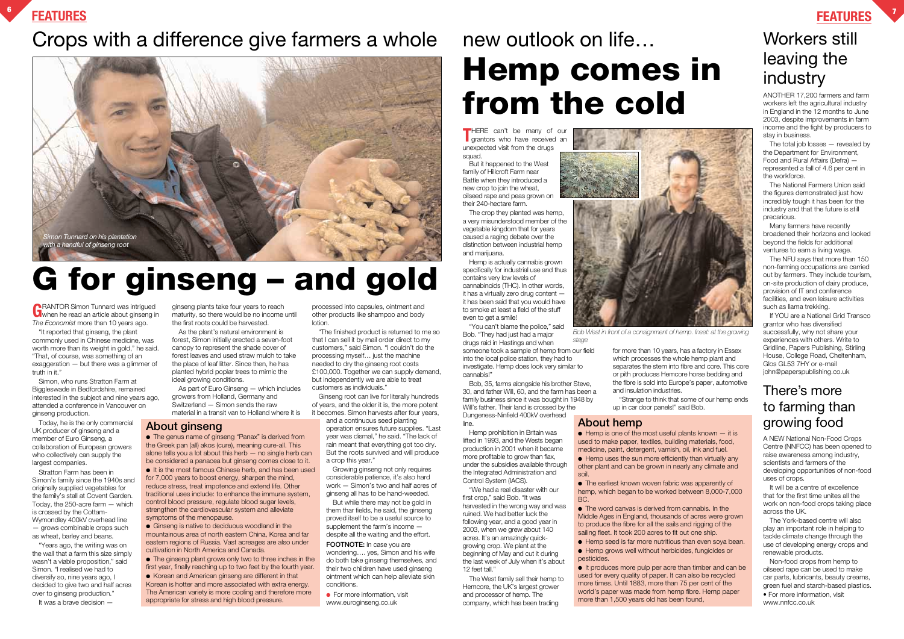#### **FEATURES <sup>6</sup>**

### Crops with a difference give farmers a whole new outlook on life...

#### **FEATURES <sup>7</sup>**

**THERE** can't be many of our grantors who have received an unexpected visit from the drugs squad.

But it happened to the West family of Hillcroft Farm near Battle when they introduced a new crop to join the wheat, oilseed rape and peas grown on their 240-hectare farm.

The crop they planted was hemp, a very misunderstood member of the vegetable kingdom that for years caused a raging debate over the distinction between industrial hemp and marijuana.

Hemp is actually cannabis grown specifically for industrial use and thus contains very low levels of cannabinoids (THC). In other words, it has a virtually zero drug content it has been said that you would have to smoke at least a field of the stuff even to get a smile!

Bob, 35, farms alongside his brother Steve, 30, and father Will, 60, and the farm has been a family business since it was bought in 1948 by Will's father. Their land is crossed by the Dungeness-Ninfield 400kV overhead line.

**GRANTOR Simon Tunnard was intrigued**<br>When he read an article about ginseng in *The Economist* more than 10 years ago.

> Hemp prohibition in Britain was lifted in 1993, and the Wests began production in 2001 when it became more profitable to grow than flax, under the subsidies available through the Integrated Administration and Control System (IACS).

> "We had a real disaster with our first crop," said Bob. "It was harvested in the wrong way and was ruined. We had better luck the following year, and a good year in 2003, when we grew about 140 acres. It's an amazingly quickgrowing crop. We plant at the beginning of May and cut it during the last week of July when it's about 12 feet tall."

The West family sell their hemp to Hemcore, the UK's largest grower and processor of hemp. The company, which has been trading



for more than 10 years, has a factory in Essex which processes the whole hemp plant and separates the stem into fibre and core. This core or pith produces Hemcore horse bedding and the fibre is sold into Europe's paper, automotive and insulation industries.

"Strange to think that some of our hemp ends up in car door panels!" said Bob.

"It reported that ginseng, the plant commonly used in Chinese medicine, was worth more than its weight in gold," he said. "That, of course, was something of an exaggeration — but there was a glimmer of truth in it."

> ● For more information, visit www.euroginseng.co.uk

Simon, who runs Stratton Farm at Biggleswade in Bedfordshire, remained interested in the subject and nine years ago, attended a conference in Vancouver on ginseng production.

Today, he is the only commercial UK producer of ginseng and a member of Euro Ginseng, a collaboration of European growers who collectively can supply the largest companies.

Stratton Farm has been in Simon's family since the 1940s and originally supplied vegetables for the family's stall at Covent Garden. Today, the 250-acre farm — which is crossed by the Cottam-Wymondley 400kV overhead line — grows combinable crops such as wheat, barley and beans.

"Years ago, the writing was on the wall that a farm this size simply wasn't a viable proposition," said Simon. "I realised we had to diversify so, nine years ago, I decided to give two and half acres over to ginseng production."

It was a brave decision —

ginseng plants take four years to reach maturity, so there would be no income until the first roots could be harvested.

#### There's more to farming than **About hemp** growing food

As the plant's natural environment is forest, Simon initially erected a seven-foot canopy to represent the shade cover of forest leaves and used straw mulch to take the place of leaf litter. Since then, he has planted hybrid poplar trees to mimic the ideal growing conditions.

> $\bullet$  Hemp is one of the most useful plants known  $-$  it is used to make paper, textiles, building materials, food, medicine, paint, detergent, varnish, oil, ink and fuel. ● Hemp uses the sun more efficiently than virtually any other plant and can be grown in nearly any climate and soil.

• The earliest known woven fabric was apparently of hemp, which began to be worked between 8,000-7,000 BC.

• The word canvas is derived from cannabis. In the Middle Ages in England, thousands of acres were grown to produce the fibre for all the sails and rigging of the sailing fleet. It took 200 acres to fit out one ship.

As part of Euro Ginseng — which includes growers from Holland, Germany and Switzerland — Simon sends the raw material in a transit van to Holland where it is

> ● Hemp seed is far more nutritious than even soya bean. ● Hemp grows well without herbicides, fungicides or pesticides.

processed into capsules, ointment and other products like shampoo and body lotion.

● The genus name of ginseng "Panax" is derived from the Greek pan (all) akos (cure), meaning cure-all. This alone tells you a lot about this herb — no single herb can be considered a panacea but ginseng comes close to it.

"The finished product is returned to me so that I can sell it by mail order direct to my customers," said Simon. "I couldn't do the processing myself… just the machine needed to dry the ginseng root costs £100,000. Together we can supply demand, but independently we are able to treat customers as individuals."

● Ginseng is native to deciduous woodland in the mountainous area of north eastern China, Korea and far eastern regions of Russia. Vast acreages are also under cultivation in North America and Canada.

Ginseng root can live for literally hundreds of years, and the older it is, the more potent it becomes. Simon harvests after four years,

and a continuous seed planting operation ensures future supplies. "Last year was dismal," he said. "The lack of rain meant that everything got too dry. But the roots survived and will produce a crop this year."

Growing ginseng not only requires considerable patience, it's also hard work — Simon's two and half acres of ginseng all has to be hand-weeded.

But while there may not be gold in them thar fields, he said, the ginseng proved itself to be a useful source to supplement the farm's income despite all the waiting and the effort.

**FOOTNOTE:** In case you are

"You can't blame the police," said Bob. "They had just had a major drugs raid in Hastings and when someone took a sample of hemp from our field into the local police station, they had to investigate. Hemp does look very similar to cannabis!" *stage*

wondering…. yes, Simon and his wife do both take ginseng themselves, and their two children have used ginseng ointment which can help alleviate skin conditions.

A NEW National Non-Food Crops Centre (NNFCC) has been opened to raise awareness among industry, scientists and farmers of the developing opportunities of non-food uses of crops.

It will be a centre of excellence that for the first time unites all the work on non-food crops taking place across the UK.

The York-based centre will also play an important role in helping to tackle climate change through the use of developing energy crops and renewable products.

Non-food crops from hemp to oilseed rape can be used to make car parts, lubricants, beauty creams, green fuel and starch-based plastics. • For more information, visit www.nnfcc.co.uk

ANOTHER 17,200 farmers and farm workers left the agricultural industry in England in the 12 months to June 2003, despite improvements in farm income and the fight by producers to stay in business.

The total job losses — revealed by the Department for Environment, Food and Rural Affairs (Defra) represented a fall of 4.6 per cent in the workforce.

The National Farmers Union said the figures demonstrated just how incredibly tough it has been for the industry and that the future is still precarious.

Many farmers have recently broadened their horizons and looked beyond the fields for additional ventures to earn a living wage.

The NFU says that more than 150 non-farming occupations are carried out by farmers. They include tourism, on-site production of dairy produce, provision of IT and conference facilities, and even leisure activities such as llama trekking.

If YOU are a National Grid Transco grantor who has diversified successfully, why not share your experiences with others. Write to Gridline, Papers Publishing, Stirling House, College Road, Cheltenham, Glos GL53 7HY or e-mail john@paperspublishing.co.uk

### Workers still leaving the industry

● It produces more pulp per acre than timber and can be used for every quality of paper. It can also be recycled more times. Until 1883, more than 75 per cent of the world's paper was made from hemp fibre. Hemp paper more than 1,500 years old has been found,

#### **About ginseng**

● It is the most famous Chinese herb, and has been used for 7,000 years to boost energy, sharpen the mind, reduce stress, treat impotence and extend life. Other traditional uses include: to enhance the immune system, control blood pressure, regulate blood sugar levels, strengthen the cardiovascular system and alleviate symptoms of the menopause.

● The ginseng plant grows only two to three inches in the first year, finally reaching up to two feet by the fourth year.

● Korean and American ginseng are different in that Korean is hotter and more associated with extra energy. The American variety is more cooling and therefore more appropriate for stress and high blood pressure.

## **Hemp comes in from the cold**

## **G for ginseng – and gold**



*Bob West in front of a consignment of hemp. Inset: at the growing*

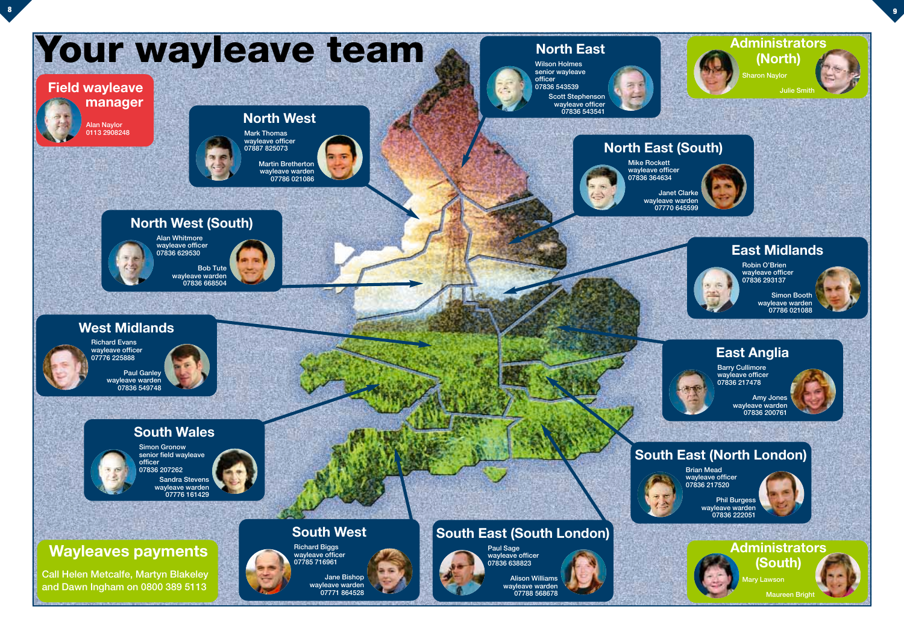





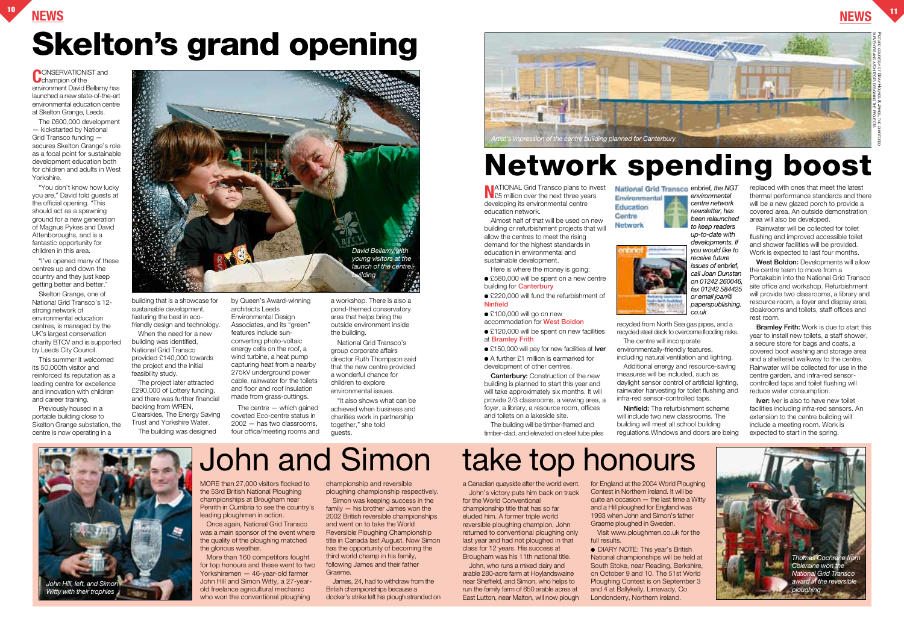### **NEWS <sup>10</sup> NEWS <sup>11</sup> Skelton's grand opening**

**CONSERVATIONIST** and environment David Bellamy has launched a new state-of-the-art environmental education centre at Skelton Grange, Leeds.

The £600,000 development — kickstarted by National Grid Transco funding secures Skelton Grange's role as a focal point for sustainable development education both for children and adults in West Yorkshire.

"You don't know how lucky you are," David told guests at the official opening. "This should act as a spawning ground for a new generation of Magnus Pykes and David Attenboroughs, and is a fantastic opportunity for children in this area.

"I've opened many of these centres up and down the country and they just keep getting better and better."

Skelton Grange, one of National Grid Transco's 12 strong network of environmental education centres, is managed by the UK's largest conservation charity BTCV and is supported by Leeds City Council.

This summer it welcomed its 50,000th visitor and reinforced its reputation as a leading centre for excellence and innovation with children and career training.

Previously housed in a portable building close to Skelton Grange substation, the centre is now operating in a

building that is a showcase for sustainable development, featuring the best in ecofriendly design and technology.

**NATIONAL Grid Transco plans to invest<br>
£5 million over the next three years** developing its environmental centre education network.

When the need for a new building was identified, National Grid Transco provided £140,000 towards the project and the initial feasibility study.

Here is where the money is going: ● £580,000 will be spent on a new centre

● £220,000 will fund the refurbishment of **Ninfield**

- £100,000 will go on new
- accommodation for **West Boldon**
- $\bullet$  £120,000 will be spent on new facilities at **Bramley Frith**
- £150,000 will pay for new facilities at **Iver**
- A further £1 million is earmarked for

The project later attracted £290,000 of Lottery funding, and there was further financial backing from WREN, Clearskies, The Energy Saving Trust and Yorkshire Water. The building was designed

by Queen's Award-winning architects Leeds Environmental Design Associates, and its "green" features include sunconverting photo-voltaic energy cells on the roof, a wind turbine, a heat pump capturing heat from a nearby 275kV underground power cable, rainwater for the toilets and floor and roof insulation made from grass-cuttings.

The centre — which gained coveted Eco-centre status in 2002 — has two classrooms, four office/meeting rooms and a workshop. There is also a pond-themed conservatory area that helps bring the outside environment inside the building.

National Grid Transco's group corporate affairs director Ruth Thompson said that the new centre provided a wonderful chance for children to explore environmental issues.

"It also shows what can be achieved when business and charities work in partnership together," she told guests.

**Iver:** Iver is also to have new toilet facilities including infra-red sensors. An extension to the centre building will include a meeting room. Work is expected to start in the spring.



Once again, National Grid Transco was a main sponsor of the event where the quality of the ploughing matched the glorious weather.

More than 160 competitors fought for top honours and these went to two Yorkshiremen — 46-year-old farmer John Hill and Simon Witty, a 27-yearold freelance agricultural mechanic who won the conventional ploughing

Almost half of that will be used on new building or refurbishment projects that will allow the centres to meet the rising demand for the highest standards in education in environmental and sustainable development.

building for **Canterbury**

development of other centres. **Canterbury:** Construction of the new building is planned to start this year and will take approximately six months. It will provide 2/3 classrooms, a viewing area, a foyer, a library, a resource room, offices and toilets on a lakeside site.

The building will be timber-framed and timber-clad, and elevated on steel tube piles





recycled from North Sea gas pipes, and a recycled steel deck to overcome flooding risks.

● DIARY NOTE: This year's British National championships will be held at South Stoke, near Reading, Berkshire, on October 9 and 10. The 51st World Ploughing Contest is on September 3 and 4 at Ballykelly, Limavady, Co Londonderry, Northern Ireland.



The centre will incorporate environmentally-friendly features,

including natural ventilation and lighting. Additional energy and resource-saving measures will be included, such as daylight sensor control of artificial lighting, rainwater harvesting for toilet flushing and infra-red sensor-controlled taps.

**Ninfield:** The refurbishment scheme will include two new classrooms. The building will meet all school building regulations.Windows and doors are being

replaced with ones that meet the latest thermal performance standards and there will be a new glazed porch to provide a covered area. An outside demonstration area will also be developed.

Rainwater will be collected for toilet flushing and improved accessible toilet and shower facilities will be provided. Work is expected to last four months.

**West Boldon:** Developments will allow the centre team to move from a Portakabin into the National Grid Transco site office and workshop. Refurbishment will provide two classrooms, a library and resource room, a foyer and display area, cloakrooms and toilets, staff offices and rest room.

**Bramley Frith:** Work is due to start this year to install new toilets, a staff shower, a secure store for bags and coats, a covered boot washing and storage area and a sheltered walkway to the centre. Rainwater will be collected for use in the centre garden, and infra-red sensorcontrolled taps and toilet flushing will reduce water consumption.

### **Network spending boost**

MORE than 27,000 visitors flocked to the 53rd British National Ploughing championships at Brougham near Penrith in Cumbria to see the country's leading ploughmen in action.

championship and reversible

ploughing championship respectively. Simon was keeping success in the family — his brother James won the 2002 British reversible championships and went on to take the World Reversible Ploughing Championship title in Canada last August. Now Simon has the opportunity of becoming the third world champ in his family, following James and their father

Graeme.

James, 24, had to withdraw from the British championships because a docker's strike left his plough stranded on



a Canadian quayside after the world event. John's victory puts him back on track

for the World Conventional championship title that has so far eluded him. A former triple world reversible ploughing champion, John returned to conventional ploughing only last year and had not ploughed in that class for 12 years. His success at Brougham was his 11th national title.

John, who runs a mixed dairy and arable 280-acre farm at Hoylandswaine near Sheffield, and Simon, who helps to run the family farm of 650 arable acres at East Lutton, near Malton, will now plough for England at the 2004 World Ploughing Contest in Northern Ireland. It will be quite an occasion — the last time a Witty and a Hill ploughed for England was 1993 when John and Simon's father Graeme ploughed in Sweden.

Visit www.ploughmen.co.uk for the full results.

### John and Simon take top honours









*environmental centre network newsletter, has been relaunched to keep readers up-to-date with developments. If you would like to receive future issues of* enbrief*, call Joan Dunstan on 01242 260046, fax 01242 584425 or email joan@ paperspublishing.*

*co.uk*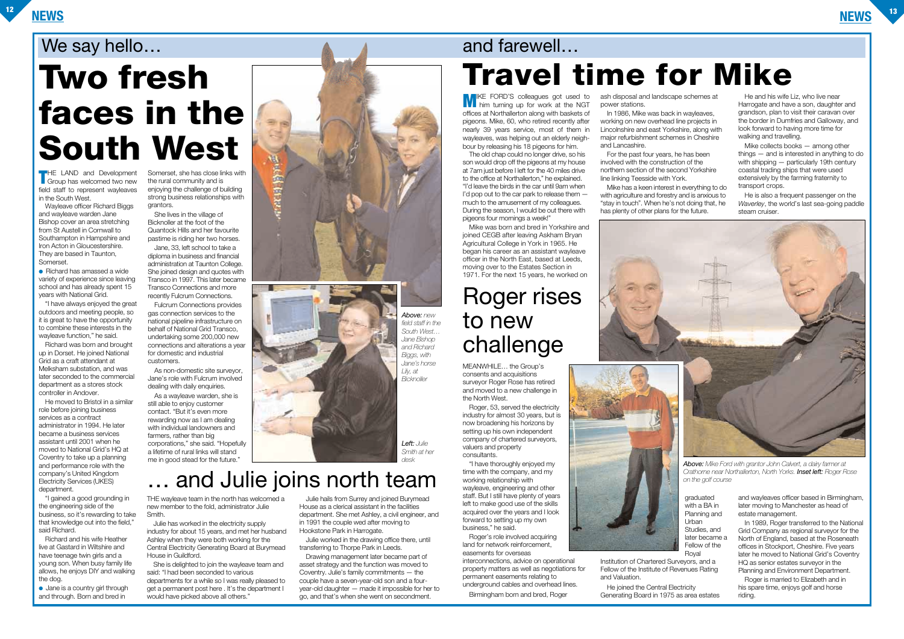**THE LAND and Development**<br>
Group has welcomed two new field staff to represent wayleaves in the South West.

 $\bullet$  Richard has amassed a wide variety of experience since leaving school and has already spent 15 years with National Grid.

Wayleave officer Richard Biggs and wayleave warden Jane Bishop cover an area stretching from St Austell in Cornwall to Southampton in Hampshire and Iron Acton in Gloucestershire. They are based in Taunton, Somerset.

"I have always enjoyed the great outdoors and meeting people, so it is great to have the opportunity to combine these interests in the wayleave function," he said.

Richard was born and brought up in Dorset. He joined National Grid as a craft attendant at Melksham substation, and was later seconded to the commercial department as a stores stock controller in Andover.

● Jane is a country girl through and through. Born and bred in

He moved to Bristol in a similar role before joining business services as a contract administrator in 1994. He later became a business services assistant until 2001 when he moved to National Grid's HQ at Coventry to take up a planning and performance role with the company's United Kingdom Electricity Services (UKES) department.

"I gained a good grounding in the engineering side of the business, so it's rewarding to take that knowledge out into the field," said Richard.

Richard and his wife Heather live at Gastard in Wiltshire and have teenage twin girls and a young son. When busy family life allows, he enjoys DIY and walking the dog.

Somerset, she has close links with the rural community and is enjoying the challenge of building strong business relationships with grantors.

She lives in the village of Bicknoller at the foot of the Quantock Hills and her favourite pastime is riding her two horses.

Jane, 33, left school to take a diploma in business and financial administration at Taunton College. She joined design and quotes with Transco in 1997. This later became Transco Connections and more recently Fulcrum Connections.

> In 1989. Roger transferred to the National Grid Company as regional surveyor for the North of England, based at the Roseneath offices in Stockport, Cheshire. Five years later he moved to National Grid's Coventry HQ as senior estates surveyor in the Planning and Environment Department.

Fulcrum Connections provides gas connection services to the national pipeline infrastructure on behalf of National Grid Transco, undertaking some 200,000 new connections and alterations a year for domestic and industrial customers.

As non-domestic site surveyor, Jane's role with Fulcrum involved dealing with daily enquiries.

As a wayleave warden, she is still able to enjoy customer contact. "But it's even more rewarding now as I am dealing with individual landowners and farmers, rather than big corporations," she said. "Hopefully a lifetime of rural links will stand me in good stead for the future."

MEANWHILE… the Group's consents and acquisitions surveyor Roger Rose has retired and moved to a new challenge in the North West.

**MIKE FORD'S colleagues got used to him turning up for work at the NGT** offices at Northallerton along with baskets of pigeons. Mike, 60, who retired recently after nearly 39 years service, most of them in wayleaves, was helping out an elderly neighbour by releasing his 18 pigeons for him.

Roger, 53, served the electricity industry for almost 30 years, but is now broadening his horizons by setting up his own independent company of chartered surveyors, valuers and property consultants.

"I have thoroughly enjoyed my time with the company, and my working relationship with wayleave, engineering and other staff. But I still have plenty of years left to make good use of the skills acquired over the years and I look forward to setting up my own business," he said.

ash disposal and landscape schemes at power stations.

Roger's role involved acquiring land for network reinforcement, easements for overseas

He and his wife Liz, who live near Harrogate and have a son, daughter and grandson, plan to visit their caravan over the border in Dumfries and Galloway, and look forward to having more time for walking and travelling.

interconnections, advice on operational property matters as well as negotiations for permanent easements relating to underground cables and overhead lines.

Birmingham born and bred, Roger

graduated

- with a BA in
- Planning and **Urban**
- Studies, and
- later became a
- Fellow of the
- Royal
- 
- 

Institution of Chartered Surveyors, and a Fellow of the Institute of Revenues Rating and Valuation.

He joined the Central Electricity Generating Board in 1975 as area estates

and wayleaves officer based in Birmingham, later moving to Manchester as head of estate management.

Roger is married to Elizabeth and in his spare time, enjoys golf and horse riding.

THE wayleave team in the north has welcomed a new member to the fold, administrator Julie Smith.

Julie has worked in the electricity supply industry for about 15 years, and met her husband Ashley when they were both working for the Central Electricity Generating Board at Burymead House in Guildford.

She is delighted to join the wayleave team and said: "I had been seconded to various departments for a while so I was really pleased to get a permanent post here . It's the department I would have picked above all others."

Julie hails from Surrey and joined Burymead House as a clerical assistant in the facilities department. She met Ashley, a civil engineer, and in 1991 the couple wed after moving to Hookstone Park in Harrogate.

Julie worked in the drawing office there, until transferring to Thorpe Park in Leeds.

Drawing management later became part of asset strategy and the function was moved to Coventry. Julie's family commitments — the couple have a seven-year-old son and a fouryear-old daughter — made it impossible for her to go, and that's when she went on secondment.

The old chap could no longer drive, so his son would drop off the pigeons at my house at 7am just before I left for the 40 miles drive to the office at Northallerton," he explained. "I'd leave the birds in the car until 9am when I'd pop out to the car park to release them  $$ much to the amusement of my colleagues. During the season, I would be out there with pigeons four mornings a week!"

Mike was born and bred in Yorkshire and joined CEGB after leaving Askham Bryan Agricultural College in York in 1965. He began his career as an assistant wayleave officer in the North East, based at Leeds, moving over to the Estates Section in 1971. For the next 15 years, he worked on

In 1986, Mike was back in wayleaves, working on new overhead line projects in Lincolnshire and east Yorkshire, along with major refurbishment schemes in Cheshire and Lancashire.

For the past four years, he has been involved with the construction of the northern section of the second Yorkshire line linking Teesside with York.

Mike has a keen interest in everything to do with agriculture and forestry and is anxious to "stay in touch". When he's not doing that, he has plenty of other plans for the future.





Mike collects books — among other things — and is interested in anything to do with shipping — particularly 19th century coastal trading ships that were used extensively by the farming fraternity to transport crops.

He is also a frequent passenger on the *Waverley*, the world's last sea-going paddle steam cruiser.

### We say hello… and farewell…

## **Two fresh faces in the South West**

### … and Julie joins north team

**ACCES** 

## **Travel time for Mike**



### Roger rises to new challenge

*Above: Mike Ford with grantor John Calvert, a dairy farmer at Crathorne near Northallerton, North Yorks. Inset left: Roger Rose on the golf course*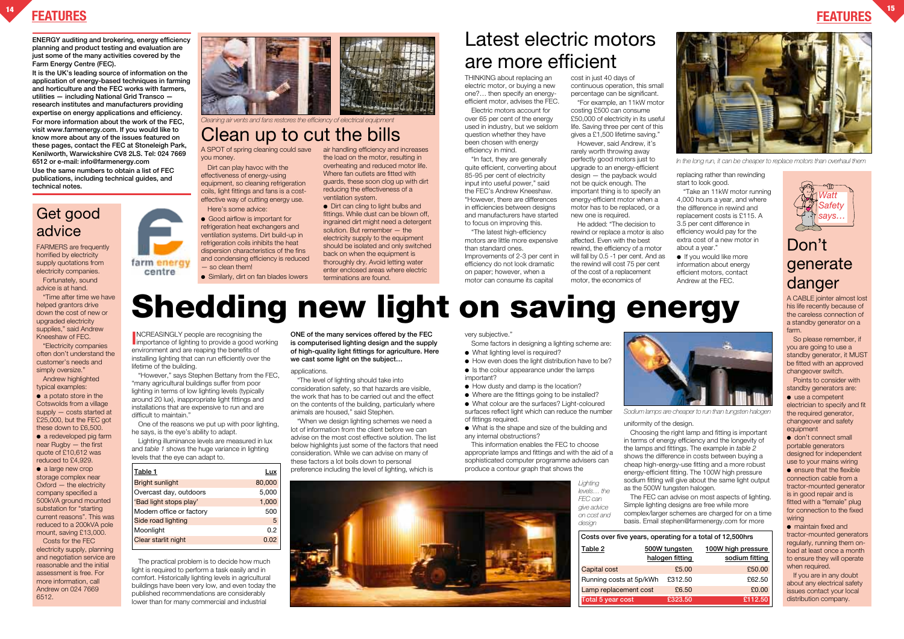THINKING about replacing an electric motor, or buying a new one?… then specify an energyefficient motor, advises the FEC.

Electric motors account for over 65 per cent of the energy used in industry, but we seldom question whether they have been chosen with energy efficiency in mind.

"In fact, they are generally quite efficient, converting about 85-95 per cent of electricity input into useful power," said the FEC's Andrew Kneeshaw. "However, there are differences in efficiencies between designs and manufacturers have started to focus on improving this.

"The latest high-efficiency motors are little more expensive than standard ones. Improvements of 2-3 per cent in efficiency do not look dramatic on paper; however, when a motor can consume its capital

cost in just 40 days of continuous operation, this small percentage can be significant. "For example, an 11kW motor

costing £500 can consume £50,000 of electricity in its useful life. Saving three per cent of this gives a £1,500 lifetime saving."

> ● If you would like more information about energy efficient motors, contact Andrew at the FEC.





| for a total of 12,500hrs |                    |  |  |  |
|--------------------------|--------------------|--|--|--|
| ten                      | 100W high pressure |  |  |  |
| <u>ing</u>               | sodium fitting     |  |  |  |
| .00                      | £50.00             |  |  |  |
| .50                      | £62.50             |  |  |  |
| .50                      | £0.00              |  |  |  |
| .50                      | £112.50            |  |  |  |

However, said Andrew, it's rarely worth throwing away perfectly good motors just to upgrade to an energy-efficient design — the payback would not be quick enough. The important thing is to specify an energy-efficient motor when a motor has to be replaced, or a new one is required.

He added: "The decision to rewind or replace a motor is also affected. Even with the best rewind, the efficiency of a motor will fall by 0.5 -1 per cent. And as the rewind will cost 75 per cent of the cost of a replacement motor, the economics of

replacing rather than rewinding start to look good.

● Good airflow is important for refrigeration heat exchangers and ventilation systems. Dirt build-up in refrigeration coils inhibits the heat dispersion characteristics of the fins and condensing efficiency is reduced — so clean them!

● Similarly, dirt on fan blades lowers

air handling efficiency and increases the load on the motor, resulting in overheating and reduced motor life. Where fan outlets are fitted with guards, these soon clog up with dirt reducing the effectiveness of a ventilation system. ● Dirt can cling to light bulbs and

"Take an 11kW motor running 4,000 hours a year, and where the difference in rewind and replacement costs is £115. A 3.5 per cent difference in efficiency would pay for the extra cost of a new motor in about a year."

#### **FEATURES <sup>14</sup> FEATURES**

Latest electric motors are more efficient

## **Shedding new light on saving energy**

**INCREASINGLY** people are recognising the<br>importance of lighting to provide a good working **NCREASINGLY people are recognising the** environment and are reaping the benefits of installing lighting that can run efficiently over the lifetime of the building.

farm energ centre

**ENERGY auditing and brokering, energy efficiency planning and product testing and evaluation are just some of the many activities covered by the Farm Energy Centre (FEC).**

**It is the UK's leading source of information on the application of energy-based techniques in farming and horticulture and the FEC works with farmers, utilities — including National Grid Transco research institutes and manufacturers providing expertise on energy applications and efficiency. For more information about the work of the FEC, visit www.farmenergy.com. If you would like to know more about any of the issues featured on these pages, contact the FEC at Stoneleigh Park, Kenilworth, Warwickshire CV8 2LS. Tel: 024 7669 6512 or e-mail: info@farmenergy.com Use the same numbers to obtain a list of FEC**

- Some factors in designing a lighting scheme are:
- What lighting level is required?
- How even does the light distribution have to be?
- Is the colour appearance under the lamps important?
- How dusty and damp is the location?
- Where are the fittings going to be installed?
- 

**publications, including technical guides, and technical notes.**

A SPOT of spring cleaning could save you money.

Dirt can play havoc with the effectiveness of energy-using equipment, so cleaning refrigeration coils, light fittings and fans is a costeffective way of cutting energy use. Here's some advice:

● a potato store in the Cotswolds from a village supply — costs started at £25,000, but the FEC got these down to £6,500.

● a redeveloped pig farm near Rugby — the first quote of £10,612 was reduced to £4,929.

• a large new crop storage complex near Oxford — the electricity company specified a 500kVA ground mounted substation for "starting current reasons". This was reduced to a 200kVA pole mount, saving £13,000.

fittings. While dust can be blown off, ingrained dirt might need a detergent solution. But remember — the electricity supply to the equipment should be isolated and only switched back on when the equipment is thoroughly dry. Avoid letting water enter enclosed areas where electric terminations are found.

"However," says Stephen Bettany from the FEC, "many agricultural buildings suffer from poor lighting in terms of low lighting levels (typically around 20 lux), inappropriate light fittings and installations that are expensive to run and are difficult to maintain."

One of the reasons we put up with poor lighting, he says, is the eye's ability to adapt.

● use a competent electrician to specify and fit the required generator, changeover and safety equipment

Lighting illuminance levels are measured in lux and *table 1* shows the huge variance in lighting levels that the eye can adapt to.

● don't connect small portable generators designed for independent use to your mains wiring

● ensure that the flexible connection cable from a tractor-mounted generator is in good repair and is fitted with a "female" plug for connection to the fixed wiring

The practical problem is to decide how much light is required to perform a task easily and in comfort. Historically lighting levels in agricultural buildings have been very low, and even today the published recommendations are considerably lower than for many commercial and industrial

applications.

"The level of lighting should take into consideration safety, so that hazards are visible, the work that has to be carried out and the effect on the contents of the building, particularly where animals are housed," said Stephen.

"When we design lighting schemes we need a lot of information from the client before we can advise on the most cost effective solution. The list below highlights just some of the factors that need consideration. While we can advise on many of these factors a lot boils down to personal preference including the level of lighting, which is

very subjective.'

● What colour are the surfaces? Light-coloured surfaces reflect light which can reduce the number of fittings required.

● What is the shape and size of the building and any internal obstructions?

This information enables the FEC to choose appropriate lamps and fittings and with the aid of a sophisticated computer programme advisers can produce a contour graph that shows the

Choosing the right lamp and fitting is important in terms of energy efficiency and the longevity of the lamps and fittings. The example in *table 2* shows the difference in costs between buying a cheap high-energy-use fitting and a more robust energy-efficient fitting. The 100W high pressure sodium fitting will give about the same light output as the 500W tungsten halogen. The FEC can advise on most aspects of lighting. Simple lighting designs are free while more complex/larger schemes are charged for on a time basis. Email stephen@farmenergy.com for more

**Table 2 500W tungster halogen fitti** Capital cost **25.** Running costs at 5p/kWh £312. Lamp replacement cost £6 **Total 5 year cost £323.50 £112.50**  *design* **Costs over five years, operating** 

FARMERS are frequently horrified by electricity supply quotations from electricity companies. Fortunately, sound advice is at hand.

"Time after time we have helped grantors drive down the cost of new or upgraded electricity supplies," said Andrew Kneeshaw of FEC.

"Electricity companies often don't understand the customer's needs and simply oversize."

Andrew highlighted typical examples:

> uniformity of the design. *Sodium lamps are cheaper to run than tungsten halogen*

Costs for the FEC electricity supply, planning and negotiation service are reasonable and the initial assessment is free. For more information, call Andrew on 024 7669 6512.

**ONE of the many services offered by the FEC is computerised lighting design and the supply of high-quality light fittings for agriculture. Here we cast some light on the subject…**

| Table 1                  | Lux    |
|--------------------------|--------|
| <b>Bright sunlight</b>   | 80,000 |
| Overcast day, outdoors   | 5,000  |
| 'Bad light stops play'   | 1,000  |
| Modern office or factory | 500    |
| Side road lighting       | 5      |
| Moonlight                | 0.2    |
| Clear starlit night      | 0.02   |
|                          |        |



#### Get good advice



*In the long run, it can be cheaper to replace motors than overhaul them*



### Clean up to cut the bills



#### Don't generate danger

A CABLE jointer almost lost his life recently because of the careless connection of a standby generator on a farm.

So please remember, if you are going to use a standby generator, it MUST be fitted with an approved changeover switch.

Points to consider with standby generators are:

● maintain fixed and tractor-mounted generators regularly, running them onload at least once a month to ensure they will operate when required.

If you are in any doubt about any electrical safety issues contact your local distribution company.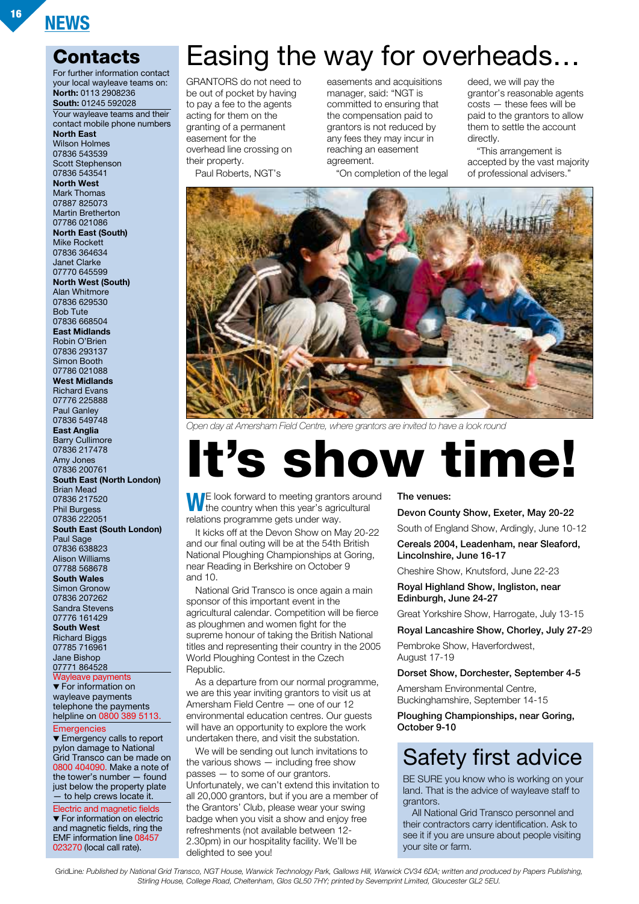#### **Contacts**

For further information contact your local wayleave teams on: **North:** 0113 2908236 **South:** 01245 592028 Your wayleave teams and their contact mobile phone numbers **North East** Wilson Holmes 07836 543539 Scott Stephenson 07836 543541 **North West** Mark Thomas 07887 825073 Martin Bretherton 07786 021086 **North East (South)** Mike Rockett 07836 364634 Janet Clarke 07770 645599 **North West (South)** Alan Whitmore 07836 629530 Bob Tute 07836 668504 **East Midlands** Robin O'Brien 07836 293137 Simon Booth 07786 021088 **West Midlands** Richard Evans 07776 225888 Paul Ganley 07836 549748 **East Anglia** Barry Cullimore 07836 217478 Amy Jones 07836 200761 **South East (North London)** Brian Mead 07836 217520 Phil Burgess 07836 222051 **South East (South London)** Paul Sage 07836 638823 Alison Williams 07788 568678 **South Wales** Simon Gronow 07836 207262 Sandra Stevens 07776 161429 **South West** Richard Biggs 07785 716961 Jane Bishop 07771 864528 Wayleave payments ▼ For information on wayleave payments telephone the payments helpline on 0800 389 5113. **Emergencies** 

▼ Emergency calls to report pylon damage to National Grid Transco can be made on 0800 404090. Make a note of the tower's number — found just below the property plate — to help crews locate it.

Electric and magnetic fields ▼ For information on electric and magnetic fields, ring the EMF information line 08457 023270 (local call rate).

### Easing the way for overheads…

GRANTORS do not need to be out of pocket by having to pay a fee to the agents acting for them on the granting of a permanent easement for the overhead line crossing on their property. Paul Roberts, NGT's

easements and acquisitions manager, said: "NGT is committed to ensuring that the compensation paid to grantors is not reduced by any fees they may incur in reaching an easement agreement.

"On completion of the legal

deed, we will pay the grantor's reasonable agents costs — these fees will be paid to the grantors to allow them to settle the account directly.

"This arrangement is accepted by the vast majority of professional advisers."



*Open day at Amersham Field Centre, where grantors are invited to have a look round*

## **It's show time!**

WE look forward to meeting grantors around<br>the country when this year's agricultural relations programme gets under way.

It kicks off at the Devon Show on May 20-22 and our final outing will be at the 54th British National Ploughing Championships at Goring, near Reading in Berkshire on October 9 and 10.

National Grid Transco is once again a main sponsor of this important event in the agricultural calendar. Competition will be fierce as ploughmen and women fight for the supreme honour of taking the British National titles and representing their country in the 2005 World Ploughing Contest in the Czech Republic.

As a departure from our normal programme, we are this year inviting grantors to visit us at Amersham Field Centre — one of our 12 environmental education centres. Our guests will have an opportunity to explore the work undertaken there, and visit the substation.

We will be sending out lunch invitations to the various shows — including free show passes — to some of our grantors. Unfortunately, we can't extend this invitation to all 20,000 grantors, but if you are a member of the Grantors' Club, please wear your swing badge when you visit a show and enjoy free refreshments (not available between 12- 2.30pm) in our hospitality facility. We'll be delighted to see you!

#### **The venues:**

**Devon County Show, Exeter, May 20-22**

South of England Show, Ardingly, June 10-12

**Cereals 2004, Leadenham, near Sleaford, Lincolnshire, June 16-17**

Cheshire Show, Knutsford, June 22-23

**Royal Highland Show, Ingliston, near Edinburgh, June 24-27**

Great Yorkshire Show, Harrogate, July 13-15

#### **Royal Lancashire Show, Chorley, July 27-2**9

Pembroke Show, Haverfordwest, August 17-19

**Dorset Show, Dorchester, September 4-5**

Amersham Environmental Centre, Buckinghamshire, September 14-15

**Ploughing Championships, near Goring, October 9-10**

#### Safety first advice

BE SURE you know who is working on your land. That is the advice of wayleave staff to grantors.

All National Grid Transco personnel and their contractors carry identification. Ask to see it if you are unsure about people visiting your site or farm.

GridLine*: Published by National Grid Transco, NGT House, Warwick Technology Park, Gallows Hill, Warwick CV34 6DA; written and produced by Papers Publishing, Stirling House, College Road, Cheltenham, Glos GL50 7HY; printed by Severnprint Limited, Gloucester GL2 5EU.*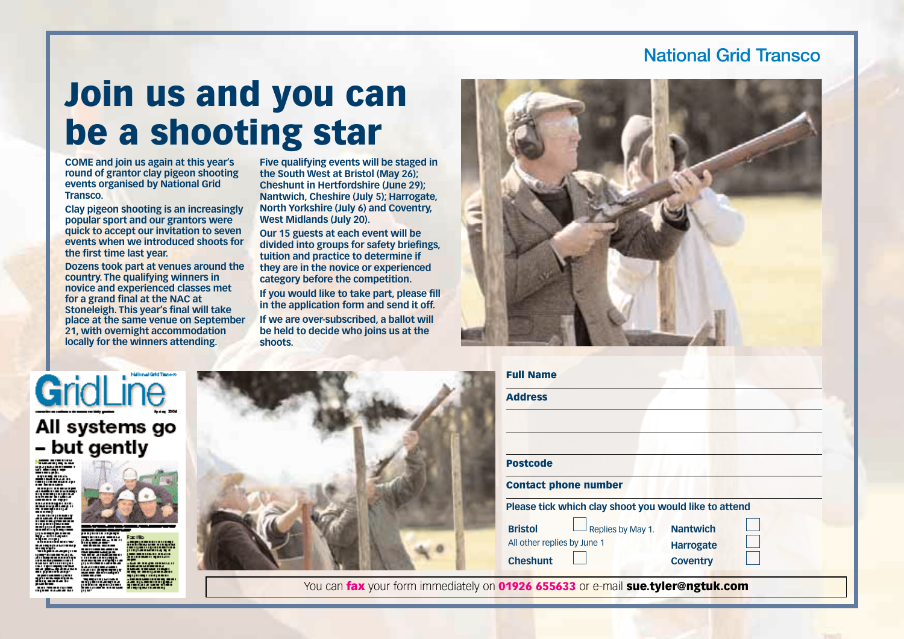#### **National Grid Transco**

### **Join us and you can be a shooting star**

**COME and join us again at this year's round of grantor clay pigeon shooting events organised by National Grid Transco.**

**Clay pigeon shooting is an increasingly popular sport and our grantors were quick to accept our invitation to seven events when we introduced shoots for the first time last year.**

**Dozens took part at venues around the country. The qualifying winners in novice and experienced classes met for a grand final at the NAC at Stoneleigh. This year's final will take place at the same venue on September 21, with overnight accommodation locally for the winners attending.**

**Five qualifying events will be staged in the South West at Bristol (May 26); Cheshunt in Hertfordshire (June 29); Nantwich, Cheshire (July 5); Harrogate, North Yorkshire (July 6) and Coventry, West Midlands (July 20).**

**Our 15 guests at each event will be divided into groups for safety briefings, tuition and practice to determine if they are in the novice or experienced category before the competition.**

**If you would like to take part, please fill in the application form and send it off. If we are over-subscribed, a ballot will be held to decide who joins us at the shoots.**



### GridLine All systems go - but gently



| <b>Full Name</b><br><b>Address</b>                                                                                                             |                                                        |
|------------------------------------------------------------------------------------------------------------------------------------------------|--------------------------------------------------------|
| <b>Postcode</b><br><b>Contact phone number</b>                                                                                                 |                                                        |
| Please tick which clay shoot you would like to attend<br><b>Bristol</b><br>Replies by May 1.<br>All other replies by June 1<br><b>Cheshunt</b> | <b>Nantwich</b><br><b>Harrogate</b><br><b>Coventry</b> |
|                                                                                                                                                |                                                        |

You can **fax** your form immediately on **01926 655633** or e-mail **sue.tyler@ngtuk.com**